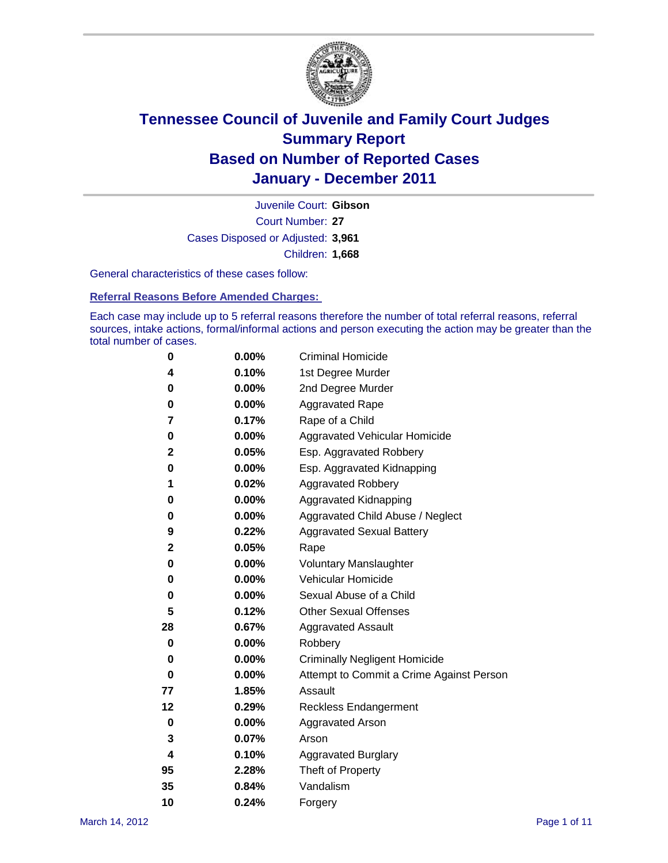

Court Number: **27** Juvenile Court: **Gibson** Cases Disposed or Adjusted: **3,961** Children: **1,668**

General characteristics of these cases follow:

**Referral Reasons Before Amended Charges:** 

Each case may include up to 5 referral reasons therefore the number of total referral reasons, referral sources, intake actions, formal/informal actions and person executing the action may be greater than the total number of cases.

| 0  | 0.00% | <b>Criminal Homicide</b>                 |  |  |  |
|----|-------|------------------------------------------|--|--|--|
| 4  | 0.10% | 1st Degree Murder                        |  |  |  |
| 0  | 0.00% | 2nd Degree Murder                        |  |  |  |
| 0  | 0.00% | <b>Aggravated Rape</b>                   |  |  |  |
| 7  | 0.17% | Rape of a Child                          |  |  |  |
| 0  | 0.00% | Aggravated Vehicular Homicide            |  |  |  |
| 2  | 0.05% | Esp. Aggravated Robbery                  |  |  |  |
| 0  | 0.00% | Esp. Aggravated Kidnapping               |  |  |  |
| 1  | 0.02% | <b>Aggravated Robbery</b>                |  |  |  |
| 0  | 0.00% | Aggravated Kidnapping                    |  |  |  |
| 0  | 0.00% | Aggravated Child Abuse / Neglect         |  |  |  |
| 9  | 0.22% | <b>Aggravated Sexual Battery</b>         |  |  |  |
| 2  | 0.05% | Rape                                     |  |  |  |
| 0  | 0.00% | <b>Voluntary Manslaughter</b>            |  |  |  |
| 0  | 0.00% | Vehicular Homicide                       |  |  |  |
| 0  | 0.00% | Sexual Abuse of a Child                  |  |  |  |
| 5  | 0.12% | <b>Other Sexual Offenses</b>             |  |  |  |
| 28 | 0.67% | <b>Aggravated Assault</b>                |  |  |  |
| 0  | 0.00% | Robbery                                  |  |  |  |
| 0  | 0.00% | <b>Criminally Negligent Homicide</b>     |  |  |  |
| 0  | 0.00% | Attempt to Commit a Crime Against Person |  |  |  |
| 77 | 1.85% | Assault                                  |  |  |  |
| 12 | 0.29% | <b>Reckless Endangerment</b>             |  |  |  |
| 0  | 0.00% | <b>Aggravated Arson</b>                  |  |  |  |
| 3  | 0.07% | Arson                                    |  |  |  |
| 4  | 0.10% | <b>Aggravated Burglary</b>               |  |  |  |
| 95 | 2.28% | Theft of Property                        |  |  |  |
| 35 | 0.84% | Vandalism                                |  |  |  |
| 10 | 0.24% | Forgery                                  |  |  |  |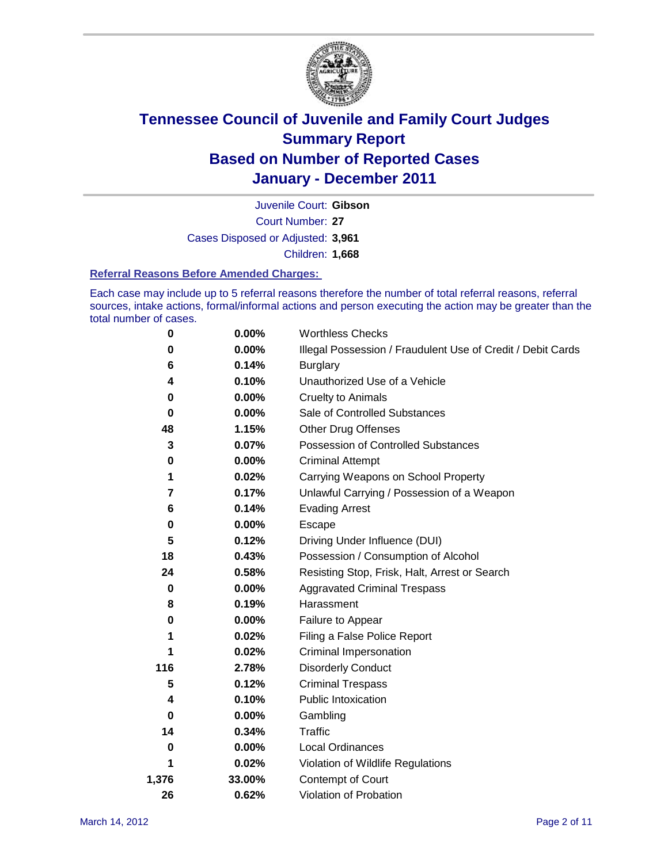

Court Number: **27** Juvenile Court: **Gibson** Cases Disposed or Adjusted: **3,961** Children: **1,668**

#### **Referral Reasons Before Amended Charges:**

Each case may include up to 5 referral reasons therefore the number of total referral reasons, referral sources, intake actions, formal/informal actions and person executing the action may be greater than the total number of cases.

| 0     | 0.00%    | <b>Worthless Checks</b>                                     |  |  |
|-------|----------|-------------------------------------------------------------|--|--|
| 0     | 0.00%    | Illegal Possession / Fraudulent Use of Credit / Debit Cards |  |  |
| 6     | 0.14%    | <b>Burglary</b>                                             |  |  |
| 4     | 0.10%    | Unauthorized Use of a Vehicle                               |  |  |
| 0     | $0.00\%$ | <b>Cruelty to Animals</b>                                   |  |  |
| 0     | $0.00\%$ | Sale of Controlled Substances                               |  |  |
| 48    | 1.15%    | <b>Other Drug Offenses</b>                                  |  |  |
| 3     | 0.07%    | Possession of Controlled Substances                         |  |  |
| 0     | $0.00\%$ | <b>Criminal Attempt</b>                                     |  |  |
| 1     | 0.02%    | Carrying Weapons on School Property                         |  |  |
| 7     | 0.17%    | Unlawful Carrying / Possession of a Weapon                  |  |  |
| 6     | 0.14%    | <b>Evading Arrest</b>                                       |  |  |
| 0     | $0.00\%$ | Escape                                                      |  |  |
| 5     | 0.12%    | Driving Under Influence (DUI)                               |  |  |
| 18    | 0.43%    | Possession / Consumption of Alcohol                         |  |  |
| 24    | 0.58%    | Resisting Stop, Frisk, Halt, Arrest or Search               |  |  |
| 0     | $0.00\%$ | <b>Aggravated Criminal Trespass</b>                         |  |  |
| 8     | 0.19%    | Harassment                                                  |  |  |
| 0     | 0.00%    | Failure to Appear                                           |  |  |
| 1     | 0.02%    | Filing a False Police Report                                |  |  |
| 1     | 0.02%    | <b>Criminal Impersonation</b>                               |  |  |
| 116   | 2.78%    | <b>Disorderly Conduct</b>                                   |  |  |
| 5     | 0.12%    | <b>Criminal Trespass</b>                                    |  |  |
| 4     | 0.10%    | <b>Public Intoxication</b>                                  |  |  |
| 0     | $0.00\%$ | Gambling                                                    |  |  |
| 14    | 0.34%    | Traffic                                                     |  |  |
| 0     | $0.00\%$ | <b>Local Ordinances</b>                                     |  |  |
| 1     | 0.02%    | Violation of Wildlife Regulations                           |  |  |
| 1,376 | 33.00%   | Contempt of Court                                           |  |  |
| 26    | 0.62%    | Violation of Probation                                      |  |  |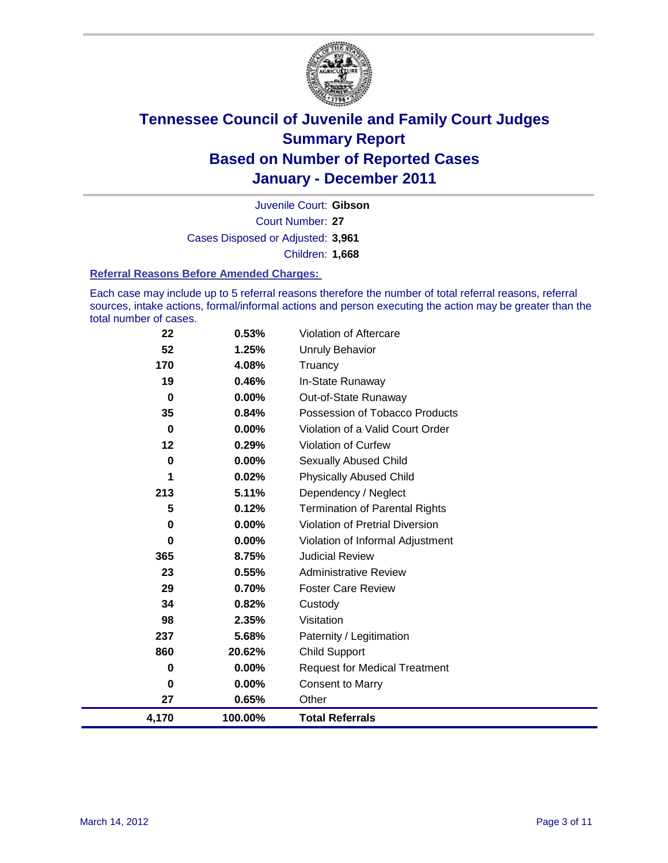

Court Number: **27** Juvenile Court: **Gibson** Cases Disposed or Adjusted: **3,961** Children: **1,668**

#### **Referral Reasons Before Amended Charges:**

Each case may include up to 5 referral reasons therefore the number of total referral reasons, referral sources, intake actions, formal/informal actions and person executing the action may be greater than the total number of cases.

| 22               | 0.53%    | Violation of Aftercare                 |
|------------------|----------|----------------------------------------|
| 52               | 1.25%    | <b>Unruly Behavior</b>                 |
| 170              | 4.08%    | Truancy                                |
| 19               | 0.46%    | In-State Runaway                       |
| $\boldsymbol{0}$ | 0.00%    | Out-of-State Runaway                   |
| 35               | 0.84%    | Possession of Tobacco Products         |
| $\boldsymbol{0}$ | 0.00%    | Violation of a Valid Court Order       |
| 12               | 0.29%    | <b>Violation of Curfew</b>             |
| $\bf{0}$         | 0.00%    | Sexually Abused Child                  |
| 1                | 0.02%    | <b>Physically Abused Child</b>         |
| 213              | 5.11%    | Dependency / Neglect                   |
| 5                | 0.12%    | <b>Termination of Parental Rights</b>  |
| 0                | $0.00\%$ | <b>Violation of Pretrial Diversion</b> |
| 0                | 0.00%    | Violation of Informal Adjustment       |
| 365              | 8.75%    | <b>Judicial Review</b>                 |
| 23               | 0.55%    | <b>Administrative Review</b>           |
| 29               | 0.70%    | <b>Foster Care Review</b>              |
| 34               | 0.82%    | Custody                                |
| 98               | 2.35%    | Visitation                             |
| 237              | 5.68%    | Paternity / Legitimation               |
| 860              | 20.62%   | <b>Child Support</b>                   |
| 0                | 0.00%    | <b>Request for Medical Treatment</b>   |
| 0                | 0.00%    | <b>Consent to Marry</b>                |
| 27               | 0.65%    | Other                                  |
| 4,170            | 100.00%  | <b>Total Referrals</b>                 |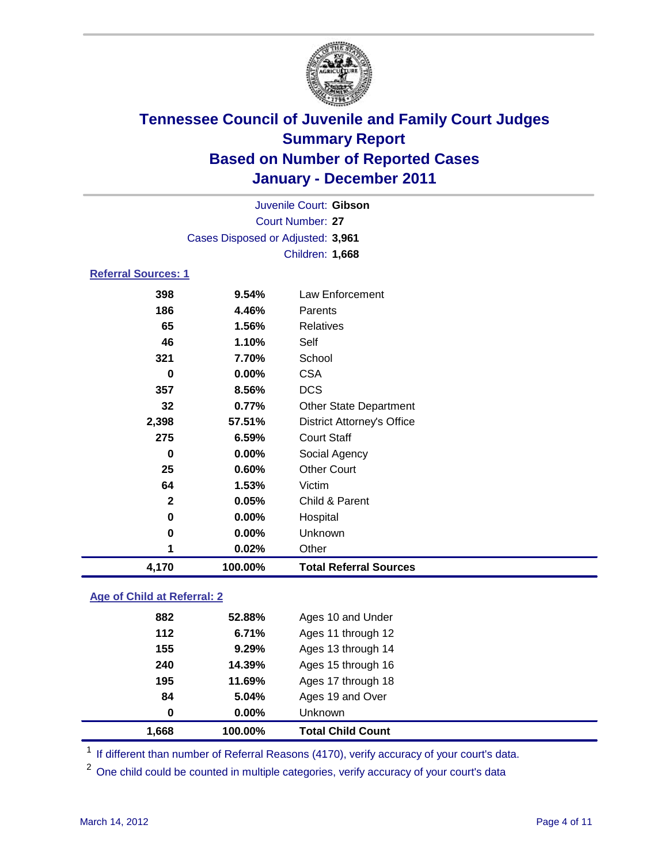

|                            | Juvenile Court: Gibson            |                                   |  |  |
|----------------------------|-----------------------------------|-----------------------------------|--|--|
|                            | <b>Court Number: 27</b>           |                                   |  |  |
|                            | Cases Disposed or Adjusted: 3,961 |                                   |  |  |
|                            |                                   | Children: 1,668                   |  |  |
| <b>Referral Sources: 1</b> |                                   |                                   |  |  |
| 398                        | 9.54%                             | Law Enforcement                   |  |  |
| 186                        | 4.46%                             | Parents                           |  |  |
| 65                         | 1.56%                             | <b>Relatives</b>                  |  |  |
| 46                         | 1.10%                             | Self                              |  |  |
| 321                        | 7.70%                             | School                            |  |  |
| 0                          | 0.00%                             | <b>CSA</b>                        |  |  |
| 357                        | 8.56%                             | <b>DCS</b>                        |  |  |
| 32                         | 0.77%                             | <b>Other State Department</b>     |  |  |
| 2,398                      | 57.51%                            | <b>District Attorney's Office</b> |  |  |
| 275                        | 6.59%                             | <b>Court Staff</b>                |  |  |
| $\bf{0}$                   | 0.00%                             | Social Agency                     |  |  |
| 25                         | 0.60%                             | <b>Other Court</b>                |  |  |
| 64                         | 1.53%                             | Victim                            |  |  |
| 2                          | 0.05%                             | Child & Parent                    |  |  |
| 0                          | 0.00%                             | Hospital                          |  |  |
| 0                          | 0.00%                             | Unknown                           |  |  |
| 1                          | 0.02%                             | Other                             |  |  |
| 4,170                      | 100.00%                           | <b>Total Referral Sources</b>     |  |  |
|                            |                                   |                                   |  |  |

### **Age of Child at Referral: 2**

| 1.668 | 100.00%       | <b>Total Child Count</b> |  |
|-------|---------------|--------------------------|--|
|       | $0.00\%$<br>0 | <b>Unknown</b>           |  |
|       | 84<br>5.04%   | Ages 19 and Over         |  |
| 195   | 11.69%        | Ages 17 through 18       |  |
| 240   | 14.39%        | Ages 15 through 16       |  |
| 155   | 9.29%         | Ages 13 through 14       |  |
| 112   | 6.71%         | Ages 11 through 12       |  |
| 882   | 52.88%        | Ages 10 and Under        |  |
|       |               |                          |  |

<sup>1</sup> If different than number of Referral Reasons (4170), verify accuracy of your court's data.

<sup>2</sup> One child could be counted in multiple categories, verify accuracy of your court's data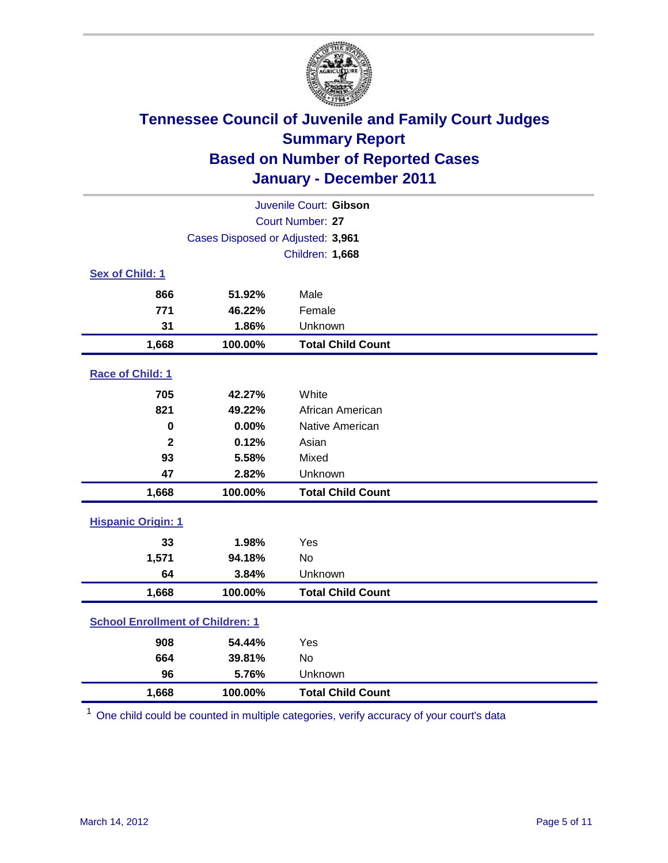

|                                         | Juvenile Court: Gibson            |                          |  |  |  |
|-----------------------------------------|-----------------------------------|--------------------------|--|--|--|
| Court Number: 27                        |                                   |                          |  |  |  |
|                                         | Cases Disposed or Adjusted: 3,961 |                          |  |  |  |
|                                         | Children: 1,668                   |                          |  |  |  |
| Sex of Child: 1                         |                                   |                          |  |  |  |
| 866                                     | 51.92%                            | Male                     |  |  |  |
| 771                                     | 46.22%                            | Female                   |  |  |  |
| 31                                      | 1.86%                             | Unknown                  |  |  |  |
| 1,668                                   | 100.00%                           | <b>Total Child Count</b> |  |  |  |
| Race of Child: 1                        |                                   |                          |  |  |  |
| 705                                     | 42.27%                            | White                    |  |  |  |
| 821                                     | 49.22%                            | African American         |  |  |  |
| $\mathbf 0$                             | 0.00%                             | Native American          |  |  |  |
| $\mathbf{2}$                            | 0.12%                             | Asian                    |  |  |  |
| 93                                      | 5.58%                             | Mixed                    |  |  |  |
| 47                                      | 2.82%                             | Unknown                  |  |  |  |
| 1,668                                   | 100.00%                           | <b>Total Child Count</b> |  |  |  |
| <b>Hispanic Origin: 1</b>               |                                   |                          |  |  |  |
| 33                                      | 1.98%                             | Yes                      |  |  |  |
| 1,571                                   | 94.18%                            | <b>No</b>                |  |  |  |
| 64                                      | 3.84%                             | Unknown                  |  |  |  |
| 1,668                                   | 100.00%                           | <b>Total Child Count</b> |  |  |  |
| <b>School Enrollment of Children: 1</b> |                                   |                          |  |  |  |
| 908                                     | 54.44%                            | Yes                      |  |  |  |
| 664                                     | 39.81%                            | <b>No</b>                |  |  |  |
| 96                                      | 5.76%                             | Unknown                  |  |  |  |
| 1,668                                   | 100.00%                           | <b>Total Child Count</b> |  |  |  |

<sup>1</sup> One child could be counted in multiple categories, verify accuracy of your court's data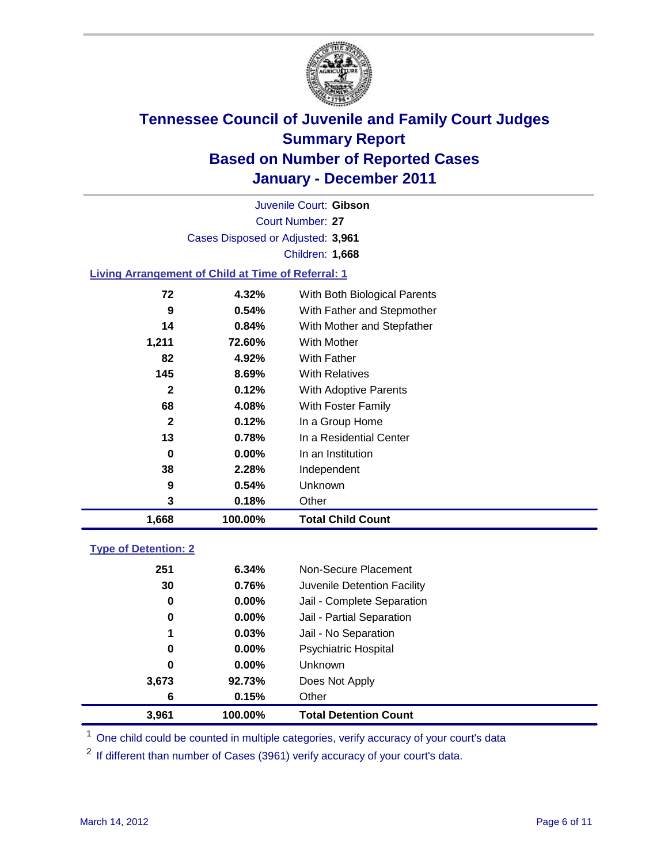

Court Number: **27** Juvenile Court: **Gibson** Cases Disposed or Adjusted: **3,961** Children: **1,668**

### **Living Arrangement of Child at Time of Referral: 1**

| 1,668        | 100.00%  | <b>Total Child Count</b>     |
|--------------|----------|------------------------------|
| 3            | 0.18%    | Other                        |
| 9            | 0.54%    | Unknown                      |
| 38           | 2.28%    | Independent                  |
| 0            | $0.00\%$ | In an Institution            |
| 13           | 0.78%    | In a Residential Center      |
| $\mathbf{2}$ | 0.12%    | In a Group Home              |
| 68           | 4.08%    | With Foster Family           |
| $\mathbf{2}$ | 0.12%    | With Adoptive Parents        |
| 145          | 8.69%    | <b>With Relatives</b>        |
| 82           | 4.92%    | <b>With Father</b>           |
| 1,211        | 72.60%   | With Mother                  |
| 14           | 0.84%    | With Mother and Stepfather   |
| 9            | 0.54%    | With Father and Stepmother   |
| 72           | 4.32%    | With Both Biological Parents |
|              |          |                              |

### **Type of Detention: 2**

| 3,961 | 100.00%  | <b>Total Detention Count</b> |  |
|-------|----------|------------------------------|--|
| 6     | 0.15%    | Other                        |  |
| 3,673 | 92.73%   | Does Not Apply               |  |
| 0     | $0.00\%$ | <b>Unknown</b>               |  |
| 0     | 0.00%    | <b>Psychiatric Hospital</b>  |  |
| 1     | 0.03%    | Jail - No Separation         |  |
| 0     | $0.00\%$ | Jail - Partial Separation    |  |
| 0     | 0.00%    | Jail - Complete Separation   |  |
| 30    | 0.76%    | Juvenile Detention Facility  |  |
| 251   | 6.34%    | Non-Secure Placement         |  |
|       |          |                              |  |

<sup>1</sup> One child could be counted in multiple categories, verify accuracy of your court's data

<sup>2</sup> If different than number of Cases (3961) verify accuracy of your court's data.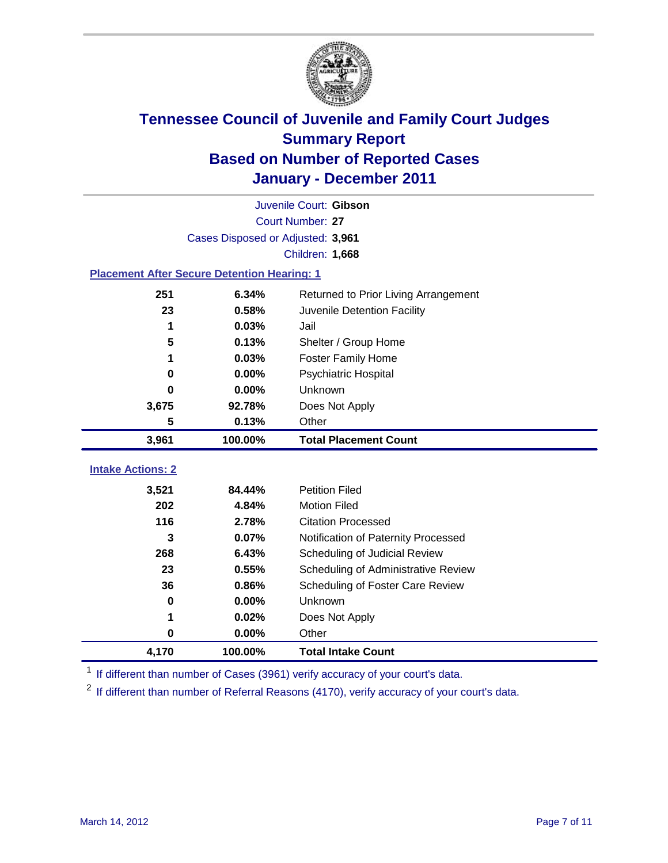

| Juvenile Court: Gibson   |                                                    |                                                  |  |  |
|--------------------------|----------------------------------------------------|--------------------------------------------------|--|--|
|                          | <b>Court Number: 27</b>                            |                                                  |  |  |
|                          | Cases Disposed or Adjusted: 3,961                  |                                                  |  |  |
|                          |                                                    | Children: 1,668                                  |  |  |
|                          | <b>Placement After Secure Detention Hearing: 1</b> |                                                  |  |  |
| 251                      | 6.34%                                              | Returned to Prior Living Arrangement             |  |  |
| 23                       | 0.58%                                              | Juvenile Detention Facility                      |  |  |
| 1                        | 0.03%                                              | Jail                                             |  |  |
| 5                        | 0.13%                                              | Shelter / Group Home                             |  |  |
| 1                        | 0.03%                                              | <b>Foster Family Home</b>                        |  |  |
| 0                        | 0.00%                                              | Psychiatric Hospital                             |  |  |
| O                        | 0.00%                                              | Unknown                                          |  |  |
| 3,675                    | 92.78%                                             | Does Not Apply                                   |  |  |
| 5                        | 0.13%                                              | Other                                            |  |  |
| 3,961                    | 100.00%                                            | <b>Total Placement Count</b>                     |  |  |
|                          |                                                    |                                                  |  |  |
|                          |                                                    |                                                  |  |  |
| <b>Intake Actions: 2</b> |                                                    |                                                  |  |  |
| 3,521                    | 84.44%                                             | <b>Petition Filed</b>                            |  |  |
| 202<br>116               | 4.84%<br>2.78%                                     | <b>Motion Filed</b><br><b>Citation Processed</b> |  |  |
| 3                        | 0.07%                                              | Notification of Paternity Processed              |  |  |
| 268                      | 6.43%                                              | Scheduling of Judicial Review                    |  |  |
| 23                       | 0.55%                                              | Scheduling of Administrative Review              |  |  |
| 36                       | 0.86%                                              | Scheduling of Foster Care Review                 |  |  |
| 0                        | 0.00%                                              | Unknown                                          |  |  |
| 1                        | 0.02%                                              | Does Not Apply                                   |  |  |
| 0                        | 0.00%                                              | Other                                            |  |  |

<sup>1</sup> If different than number of Cases (3961) verify accuracy of your court's data.

<sup>2</sup> If different than number of Referral Reasons (4170), verify accuracy of your court's data.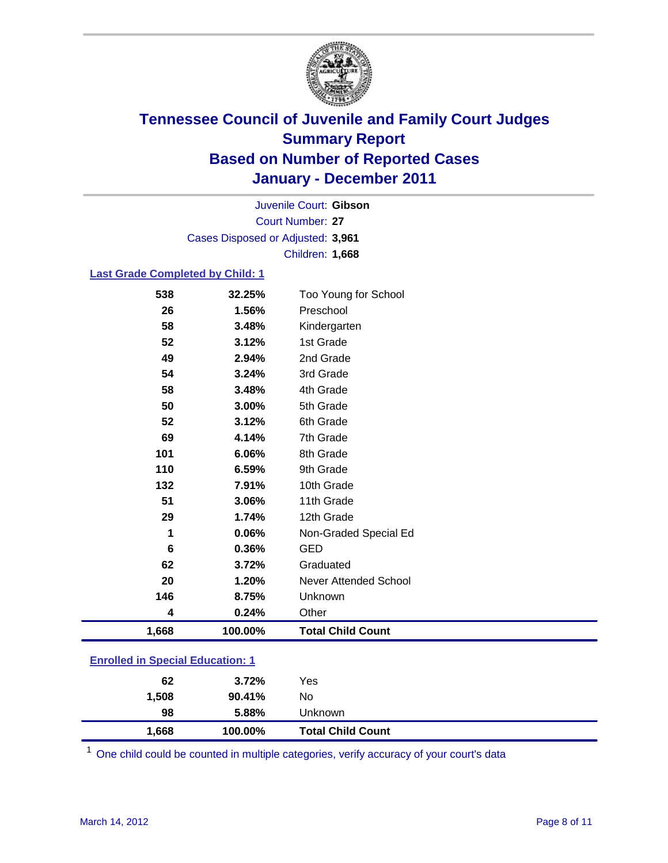

Court Number: **27** Juvenile Court: **Gibson** Cases Disposed or Adjusted: **3,961** Children: **1,668**

### **Last Grade Completed by Child: 1**

| 538                                     | 32.25%  | Too Young for School         |  |
|-----------------------------------------|---------|------------------------------|--|
| 26                                      | 1.56%   | Preschool                    |  |
| 58                                      | 3.48%   | Kindergarten                 |  |
| 52                                      | 3.12%   | 1st Grade                    |  |
| 49                                      | 2.94%   | 2nd Grade                    |  |
| 54                                      | 3.24%   | 3rd Grade                    |  |
| 58                                      | 3.48%   | 4th Grade                    |  |
| 50                                      | 3.00%   | 5th Grade                    |  |
| 52                                      | 3.12%   | 6th Grade                    |  |
| 69                                      | 4.14%   | 7th Grade                    |  |
| 101                                     | 6.06%   | 8th Grade                    |  |
| 110                                     | 6.59%   | 9th Grade                    |  |
| 132                                     | 7.91%   | 10th Grade                   |  |
| 51                                      | 3.06%   | 11th Grade                   |  |
| 29                                      | 1.74%   | 12th Grade                   |  |
| 1                                       | 0.06%   | Non-Graded Special Ed        |  |
| 6                                       | 0.36%   | <b>GED</b>                   |  |
| 62                                      | 3.72%   | Graduated                    |  |
| 20                                      | 1.20%   | <b>Never Attended School</b> |  |
| 146                                     | 8.75%   | Unknown                      |  |
| 4                                       | 0.24%   | Other                        |  |
| 1,668                                   | 100.00% | <b>Total Child Count</b>     |  |
| <b>Enrolled in Special Education: 1</b> |         |                              |  |

| 1,668 | 100.00% | <b>Total Child Count</b> |
|-------|---------|--------------------------|
| 98    | 5.88%   | <b>Unknown</b>           |
| 1,508 | 90.41%  | No                       |
| 62    | 3.72%   | Yes                      |
|       |         |                          |

One child could be counted in multiple categories, verify accuracy of your court's data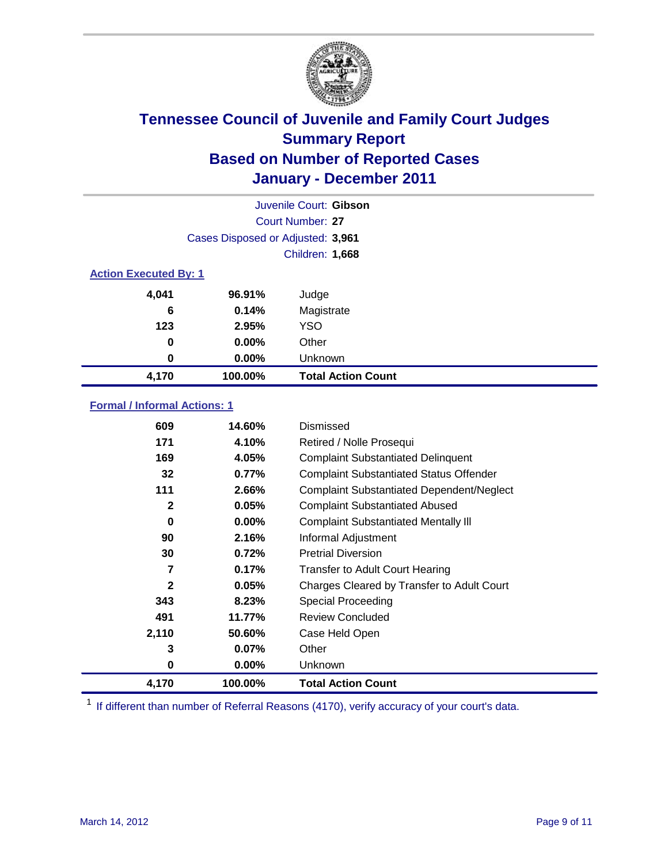

| Juvenile Court: Gibson       |                                   |                           |  |  |
|------------------------------|-----------------------------------|---------------------------|--|--|
|                              | Court Number: 27                  |                           |  |  |
|                              | Cases Disposed or Adjusted: 3,961 |                           |  |  |
|                              | Children: 1,668                   |                           |  |  |
| <b>Action Executed By: 1</b> |                                   |                           |  |  |
| 4,041                        | 96.91%                            | Judge                     |  |  |
| 6                            | 0.14%                             | Magistrate                |  |  |
| 123                          | 2.95%                             | <b>YSO</b>                |  |  |
| 0                            | 0.00%                             | Other                     |  |  |
| 0                            | 0.00%                             | Unknown                   |  |  |
| 4,170                        | 100.00%                           | <b>Total Action Count</b> |  |  |

### **Formal / Informal Actions: 1**

| 609          | 14.60%   | Dismissed                                        |
|--------------|----------|--------------------------------------------------|
| 171          | 4.10%    | Retired / Nolle Prosequi                         |
| 169          | 4.05%    | <b>Complaint Substantiated Delinquent</b>        |
| 32           | 0.77%    | <b>Complaint Substantiated Status Offender</b>   |
| 111          | 2.66%    | <b>Complaint Substantiated Dependent/Neglect</b> |
| $\mathbf{2}$ | 0.05%    | <b>Complaint Substantiated Abused</b>            |
| 0            | $0.00\%$ | <b>Complaint Substantiated Mentally III</b>      |
| 90           | 2.16%    | Informal Adjustment                              |
| 30           | 0.72%    | <b>Pretrial Diversion</b>                        |
| 7            | 0.17%    | <b>Transfer to Adult Court Hearing</b>           |
| $\mathbf{2}$ | 0.05%    | Charges Cleared by Transfer to Adult Court       |
| 343          | 8.23%    | Special Proceeding                               |
| 491          | 11.77%   | <b>Review Concluded</b>                          |
| 2,110        | 50.60%   | Case Held Open                                   |
| 3            | 0.07%    | Other                                            |
| 0            | 0.00%    | Unknown                                          |
| 4,170        | 100.00%  | <b>Total Action Count</b>                        |

<sup>1</sup> If different than number of Referral Reasons (4170), verify accuracy of your court's data.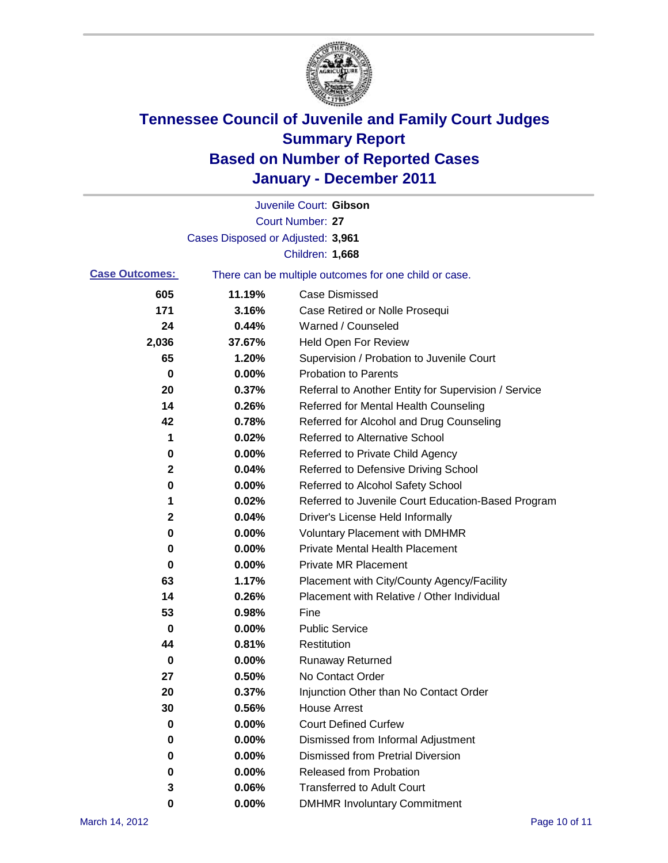

|                       |                                   | Juvenile Court: Gibson                                |
|-----------------------|-----------------------------------|-------------------------------------------------------|
|                       |                                   | <b>Court Number: 27</b>                               |
|                       | Cases Disposed or Adjusted: 3,961 |                                                       |
|                       |                                   | Children: 1,668                                       |
| <b>Case Outcomes:</b> |                                   | There can be multiple outcomes for one child or case. |
| 605                   | 11.19%                            | <b>Case Dismissed</b>                                 |
| 171                   | 3.16%                             | Case Retired or Nolle Prosequi                        |
| 24                    | 0.44%                             | Warned / Counseled                                    |
| 2,036                 | 37.67%                            | <b>Held Open For Review</b>                           |
| 65                    | 1.20%                             | Supervision / Probation to Juvenile Court             |
| 0                     | 0.00%                             | <b>Probation to Parents</b>                           |
| 20                    | 0.37%                             | Referral to Another Entity for Supervision / Service  |
| 14                    | 0.26%                             | Referred for Mental Health Counseling                 |
| 42                    | 0.78%                             | Referred for Alcohol and Drug Counseling              |
| 1                     | 0.02%                             | <b>Referred to Alternative School</b>                 |
| 0                     | 0.00%                             | Referred to Private Child Agency                      |
| 2                     | 0.04%                             | Referred to Defensive Driving School                  |
| 0                     | 0.00%                             | Referred to Alcohol Safety School                     |
| 1                     | 0.02%                             | Referred to Juvenile Court Education-Based Program    |
| 2                     | 0.04%                             | Driver's License Held Informally                      |
| 0                     | 0.00%                             | <b>Voluntary Placement with DMHMR</b>                 |
| 0                     | 0.00%                             | <b>Private Mental Health Placement</b>                |
| 0                     | 0.00%                             | <b>Private MR Placement</b>                           |
| 63                    | 1.17%                             | Placement with City/County Agency/Facility            |
| 14                    | 0.26%                             | Placement with Relative / Other Individual            |
| 53                    | 0.98%                             | Fine                                                  |
| 0                     | 0.00%                             | <b>Public Service</b>                                 |
| 44                    | 0.81%                             | Restitution                                           |
| 0                     | 0.00%                             | <b>Runaway Returned</b>                               |
| 27                    | 0.50%                             | No Contact Order                                      |
| 20                    | 0.37%                             | Injunction Other than No Contact Order                |
| 30                    | 0.56%                             | <b>House Arrest</b>                                   |
| 0                     | 0.00%                             | <b>Court Defined Curfew</b>                           |
| 0                     | 0.00%                             | Dismissed from Informal Adjustment                    |
| 0                     | 0.00%                             | <b>Dismissed from Pretrial Diversion</b>              |
| 0                     | 0.00%                             | Released from Probation                               |
| 3                     | 0.06%                             | <b>Transferred to Adult Court</b>                     |
| 0                     | $0.00\%$                          | <b>DMHMR Involuntary Commitment</b>                   |